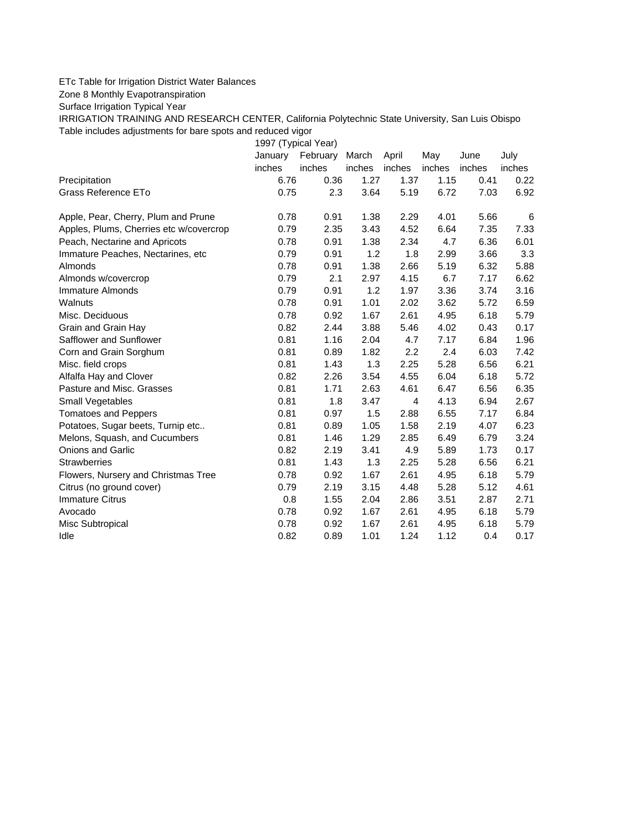## ETc Table for Irrigation District Water Balances

Zone 8 Monthly Evapotranspiration

Surface Irrigation Typical Year

IRRIGATION TRAINING AND RESEARCH CENTER, California Polytechnic State University, San Luis Obispo Table includes adjustments for bare spots and reduced vigor

1997 (Typical Year)

|                                         | January | February | March  | April  | May    | June   | July   |
|-----------------------------------------|---------|----------|--------|--------|--------|--------|--------|
|                                         | inches  | inches   | inches | inches | inches | inches | inches |
| Precipitation                           | 6.76    | 0.36     | 1.27   | 1.37   | 1.15   | 0.41   | 0.22   |
| Grass Reference ETo                     | 0.75    | 2.3      | 3.64   | 5.19   | 6.72   | 7.03   | 6.92   |
| Apple, Pear, Cherry, Plum and Prune     | 0.78    | 0.91     | 1.38   | 2.29   | 4.01   | 5.66   | 6      |
| Apples, Plums, Cherries etc w/covercrop | 0.79    | 2.35     | 3.43   | 4.52   | 6.64   | 7.35   | 7.33   |
| Peach, Nectarine and Apricots           | 0.78    | 0.91     | 1.38   | 2.34   | 4.7    | 6.36   | 6.01   |
| Immature Peaches, Nectarines, etc.      | 0.79    | 0.91     | 1.2    | 1.8    | 2.99   | 3.66   | 3.3    |
| Almonds                                 | 0.78    | 0.91     | 1.38   | 2.66   | 5.19   | 6.32   | 5.88   |
| Almonds w/covercrop                     | 0.79    | 2.1      | 2.97   | 4.15   | 6.7    | 7.17   | 6.62   |
| <b>Immature Almonds</b>                 | 0.79    | 0.91     | 1.2    | 1.97   | 3.36   | 3.74   | 3.16   |
| Walnuts                                 | 0.78    | 0.91     | 1.01   | 2.02   | 3.62   | 5.72   | 6.59   |
| Misc. Deciduous                         | 0.78    | 0.92     | 1.67   | 2.61   | 4.95   | 6.18   | 5.79   |
| Grain and Grain Hay                     | 0.82    | 2.44     | 3.88   | 5.46   | 4.02   | 0.43   | 0.17   |
| Safflower and Sunflower                 | 0.81    | 1.16     | 2.04   | 4.7    | 7.17   | 6.84   | 1.96   |
| Corn and Grain Sorghum                  | 0.81    | 0.89     | 1.82   | 2.2    | 2.4    | 6.03   | 7.42   |
| Misc. field crops                       | 0.81    | 1.43     | 1.3    | 2.25   | 5.28   | 6.56   | 6.21   |
| Alfalfa Hay and Clover                  | 0.82    | 2.26     | 3.54   | 4.55   | 6.04   | 6.18   | 5.72   |
| Pasture and Misc. Grasses               | 0.81    | 1.71     | 2.63   | 4.61   | 6.47   | 6.56   | 6.35   |
| Small Vegetables                        | 0.81    | 1.8      | 3.47   | 4      | 4.13   | 6.94   | 2.67   |
| <b>Tomatoes and Peppers</b>             | 0.81    | 0.97     | 1.5    | 2.88   | 6.55   | 7.17   | 6.84   |
| Potatoes, Sugar beets, Turnip etc       | 0.81    | 0.89     | 1.05   | 1.58   | 2.19   | 4.07   | 6.23   |
| Melons, Squash, and Cucumbers           | 0.81    | 1.46     | 1.29   | 2.85   | 6.49   | 6.79   | 3.24   |
| <b>Onions and Garlic</b>                | 0.82    | 2.19     | 3.41   | 4.9    | 5.89   | 1.73   | 0.17   |
| <b>Strawberries</b>                     | 0.81    | 1.43     | 1.3    | 2.25   | 5.28   | 6.56   | 6.21   |
| Flowers, Nursery and Christmas Tree     | 0.78    | 0.92     | 1.67   | 2.61   | 4.95   | 6.18   | 5.79   |
| Citrus (no ground cover)                | 0.79    | 2.19     | 3.15   | 4.48   | 5.28   | 5.12   | 4.61   |
| <b>Immature Citrus</b>                  | 0.8     | 1.55     | 2.04   | 2.86   | 3.51   | 2.87   | 2.71   |
| Avocado                                 | 0.78    | 0.92     | 1.67   | 2.61   | 4.95   | 6.18   | 5.79   |
| Misc Subtropical                        | 0.78    | 0.92     | 1.67   | 2.61   | 4.95   | 6.18   | 5.79   |
| Idle                                    | 0.82    | 0.89     | 1.01   | 1.24   | 1.12   | 0.4    | 0.17   |